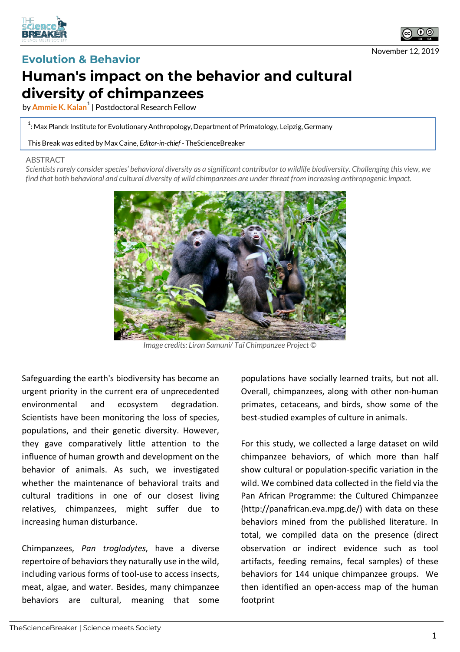



## **Evolution & Behavior**

## **Human's impact on the behavior and cultural diversity of chimpanzees**

by **Ammie K. Kalan<sup>1</sup>** | Postdoctoral Research Fellow

 $^{\rm 1}$ : Max Planck Institute for Evolutionary Anthropology, Department of Primatology, Leipzig, Germany

This Break was edited by Max Caine, *Editor-in-chief* - TheScienceBreaker

## ABSTRACT

*Scientists rarely consider species' behavioral diversity as a significant contributor to wildlife biodiversity. Challenging this view, we find that both behavioral and cultural diversity of wild chimpanzees are under threat from increasing anthropogenic impact.*



*Image credits: Liran Samuni/ Taï Chimpanzee Project ©*

Safeguarding the earth's biodiversity has become an urgent priority in the current era of unprecedented environmental and ecosystem degradation. Scientists have been monitoring the loss of species, populations, and their genetic diversity. However, they gave comparatively little attention to the influence of human growth and development on the behavior of animals. As such, we investigated whether the maintenance of behavioral traits and cultural traditions in one of our closest living relatives, chimpanzees, might suffer due to increasing human disturbance.

Chimpanzees, *Pan troglodytes*, have a diverse repertoire of behaviors they naturally use in the wild, including various forms of tool-use to access insects, meat, algae, and water. Besides, many chimpanzee behaviors are cultural, meaning that some

populations have socially learned traits, but not all. Overall, chimpanzees, along with other non-human primates, cetaceans, and birds, show some of the best-studied examples of culture in animals.

For this study, we collected a large dataset on wild chimpanzee behaviors, of which more than half show cultural or population-specific variation in the wild. We combined data collected in the field via the Pan African Programme: the Cultured Chimpanzee (http://panafrican.eva.mpg.de/) with data on these behaviors mined from the published literature. In total, we compiled data on the presence (direct observation or indirect evidence such as tool artifacts, feeding remains, fecal samples) of these behaviors for 144 unique chimpanzee groups. We then identified an open-access map of the human footprint